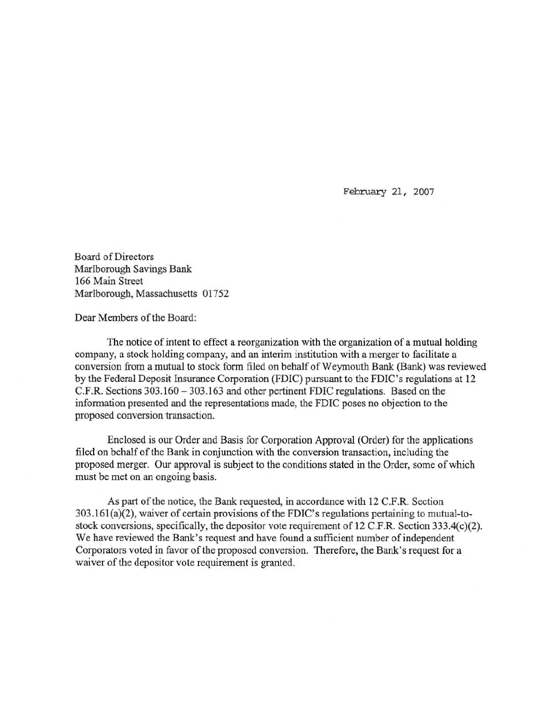February 21, 2007

Board of Directors Marlborough Savings Bank 166 Main Street Marlborough, Massachusetts 01752

Dear Members of the Board:

The notice of intent to effect a reorganization with the organization of a mutual holding company, a stock holding company, and an interim institution with a merger to facilitate a conversion from a mutual to stock form filed on behalf of Weymouth Bank (Bank) was reviewed by the Federal Deposit fusurance Corporation (FDIC) pursuant to the FDIC's regulations at 12 C.F.R. Sections 303.160-303.163 and other pertinent FDIC regulations. Based on the information presented and the representations made, the FDIC poses no objection to the proposed conversion transaction.

Enclosed is our Order and Basis for Corporation Approval (Order) for the applications filed on behalf of the Bank in conjunction with the conversion transaction, including the proposed merger. Our approval is subject to the conditions stated in the Order, some of which must be met on an ongoing basis.

As part of the notice, the Bank requested, in accordance with 12 C.F.R. Section 303.161 (a)(2), waiver of certain provisions of the FDIC's regulations pertaining to mutual-tostock conversions, specifically, the depositor vote requirement of 12 C.F.R. Section 333.4(c)(2). We have reviewed the Bank's request and have found a sufficient number of independent Corporators voted in favor of the proposed conversion. Therefore, the Bank's request for a waiver of the depositor vote requirement is granted.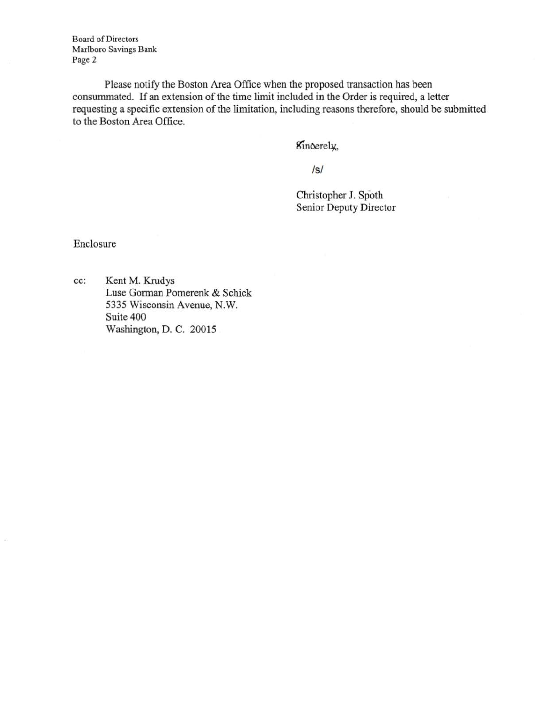Board of Directors Marlboro Savings Bank Page 2

Please notify the Boston Area Office when the proposed transaction has been consummated. If an extension of the time limit included in the Order is required, a letter requesting a specific extension of the limitation, including reasons therefore, should be submitted to the Boston Area Office.

Kinoerely,

/s/

Christopher J. Spoth Senior Deputy Director

Enclosure

cc: Kent M. Krudys Luse Gorman Pomerenk & Schick 5335 Wisconsin Avenue, N.W. Suite 400 Washington, D. C. 20015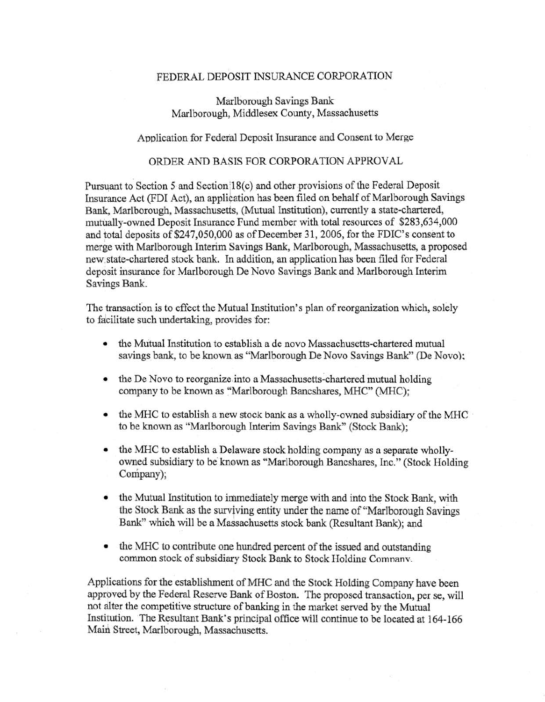## FEDERAL DEPOSIT INSURANCE CORPORATION

Marlborough Savings Bank Marlborough, Middlesex County, Massachusetts

## Application for Federal Deposit Insurance and Consent to Merge

## ORDER AND BASIS FOR CORPORATION APPROVAL

Pursuant to Section 5 and Section 18(c) and other provisions of the Federal Deposit Insurance Act (FDI Act), an application has been filed on behalf of Marlborough Savings Bank, Marlborough, Massachusetts, (Mutual Institution), currently a state-chartered, mutually-owned Deposit Insurance Fund member with total resources of \$283,634,000 and total deposits of \$247,050,000 as of December 31, 2006, for the FDIC's consent to merge with Marlborough Interim Savings Bank, Marlborough, Massachusetts, a proposed new: state-chartered stock bank. In addition, an application has been filed for Federal deposit insurance for Marlborough De Novo Savings Bank and Marlborough Interim Savings Bank.

The transaction is to effect the Mutual Institution's plan of reorganization which, solely to facilitate such undertaking, provides for:

- the Mutual Institution to establish a de novo Massachusetts-chartered mutual savings bank, to be known as "Marlborough De Novo Savings Bank" (De Novo);
- the De Novo to reorganize into a Massachusetts-chartered mutual holding company to be known as "Marlborough Bancshares, MHC" (MHC);
- the MHC to establish a new stock bank as a wholly-owned subsidiary of the MHC to be known as ''Marlborough Interim Savings Bank" (Stock Bank);
- the MHC to establish a Delaware stock holding company as a separate whollyowned subsidiary to be known as "Marlborough Bancshares, Inc." (Stock Holding Company);
- the Mutual Institution to immediately merge with and into the Stock Bank, with the Stock Bank as the surviving entity under the name of "Marlborough Savings" Bank" which will be a Massachusetts stock bank (Resultant Bank); and
- the MHC to contribute one hundred percent of the issued and outstanding common stock of subsidiary Stock Bank to Stock Holding Comnanv.

Applications for the establishment of MHC and the Stock Holding Company have been approved by the Federal Reserve Bank of Boston. The proposed transaction, per se, will not alter the competitive structure of banking in the market served by the Mutual Institution. The Resultant Bank's principal office will continue to be located at 164-166 Maid Street, Marlborough, Massachusetts.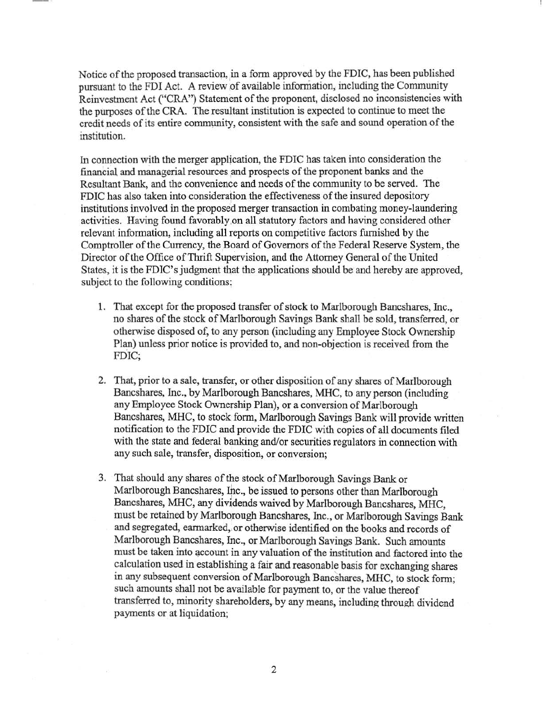Notice of the proposed transaction, in a form approved by the FDIC, has been published pursuant to the FDI Act. A review of available information, including the Community Reinvestment Act ("CRA") Statement of the proponent, disclosed no inconsistencies with the purposes of the CRA. The resultant institution is expected to continue to meet the credit needs of its entire community, consistent with the safe and sound operation of the institution.

In connection with the merger application, the FDIC has taken into consideration the financial and managerial resources and prospects of the proponent banks and the Resultant Bank, and the convenience and needs of the community to be served. The FDIC has also taken into consideration the effectiveness of the insured depository institutions involved in the proposed merger transaction in combating money-laundering activities. Having found favorably on all statutory factors and having considered other relevant information, including all reports on competitive factors furnished by the Comptroller of the Currency, the Board of Governors of the Federal Reserve System, the Director of the Office of Thrift Supervision, and the Attorney General of the United States, it is the FDIC's judgment that the applications should be and hereby are approved, subject to the following conditions;

- 1. That except for the proposed transfer of stock to Marlborough Bancshares, Inc., no shares of the stock of Marlborough Savings Bank shall be sold, transferred, or otherwise disposed of, to any person (including any Employee Stock Ownership Plan) unless prior notice is provided to, and non-objection is received from the FDIC;
- 2. That, prior to a sale, transfer, or other disposition of any shares of Marlborough Bancshares, Inc., by Marlborough Bancshares, MHC, to any person (including any Employee Stock Ownership Plan), or a conversion of Marlborough Bancshares, MHC, to stock form, Marlborough Savings Bank will provide written notification to the FDIC and provide the FDIC with copies of all documents filed with the state and federal banking and/or securities regulators in connection with any such sale, transfer, disposition, or conversion;
- 3. That should any shares of the stock of Marlborough Savings Bank or Marlborough Bancshares, Inc., be issued to persons other than Marlborough Bancshares, MHC, any dividends waived by Marlborough Bancshares, MHC, must be retained by Marlborough Bancshares, Inc., or Marlborough Savings Bank and segregated, earmarked, or otherwise identified on the books and records of Marlborough Bancshares, Inc., or Marlborough Savings Bank. Such amounts must be taken into account in any valuation of the institution and factored into the calculation used in establishing a fair and reasonable basis for exchanging shares in any subsequent conversion of Marlborough Bancshares, MHC, to stock form; such amounts shall not be available for payment to, or the value thereof transferred to, minority shareholders, by any means, including through dividend payments or at liquidation;